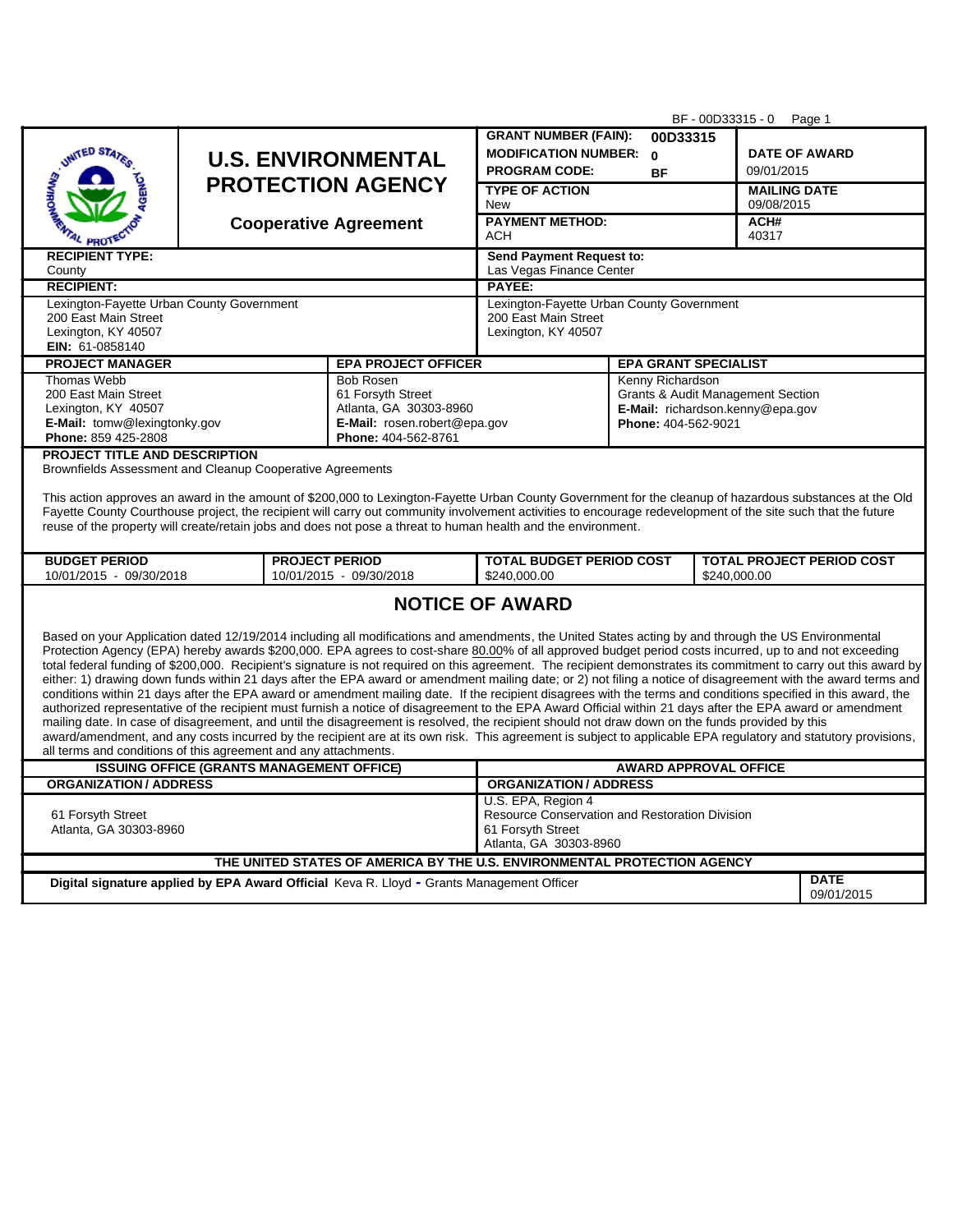|                                                                                                                                                                                                                                                                                                                                                                                                                                                                                                                                                                                                                                                                                                                                                                                                                                                                                                                                                                                                                                                                                                                                                                                                                                                                                                                                                                                                                                                                                                                                                                                                                                                                                                                                 |                                                                                                                        |                                                      | BF - 00D33315 - 0<br>Page 1                                       |                                                                       |                                                  |  |  |
|---------------------------------------------------------------------------------------------------------------------------------------------------------------------------------------------------------------------------------------------------------------------------------------------------------------------------------------------------------------------------------------------------------------------------------------------------------------------------------------------------------------------------------------------------------------------------------------------------------------------------------------------------------------------------------------------------------------------------------------------------------------------------------------------------------------------------------------------------------------------------------------------------------------------------------------------------------------------------------------------------------------------------------------------------------------------------------------------------------------------------------------------------------------------------------------------------------------------------------------------------------------------------------------------------------------------------------------------------------------------------------------------------------------------------------------------------------------------------------------------------------------------------------------------------------------------------------------------------------------------------------------------------------------------------------------------------------------------------------|------------------------------------------------------------------------------------------------------------------------|------------------------------------------------------|-------------------------------------------------------------------|-----------------------------------------------------------------------|--------------------------------------------------|--|--|
|                                                                                                                                                                                                                                                                                                                                                                                                                                                                                                                                                                                                                                                                                                                                                                                                                                                                                                                                                                                                                                                                                                                                                                                                                                                                                                                                                                                                                                                                                                                                                                                                                                                                                                                                 |                                                                                                                        |                                                      | <b>GRANT NUMBER (FAIN):</b>                                       | 00D33315                                                              |                                                  |  |  |
| <b>UNITED STATE</b>                                                                                                                                                                                                                                                                                                                                                                                                                                                                                                                                                                                                                                                                                                                                                                                                                                                                                                                                                                                                                                                                                                                                                                                                                                                                                                                                                                                                                                                                                                                                                                                                                                                                                                             |                                                                                                                        | <b>U.S. ENVIRONMENTAL</b>                            |                                                                   | MODIFICATION NUMBER: 0<br><b>DATE OF AWARD</b>                        |                                                  |  |  |
|                                                                                                                                                                                                                                                                                                                                                                                                                                                                                                                                                                                                                                                                                                                                                                                                                                                                                                                                                                                                                                                                                                                                                                                                                                                                                                                                                                                                                                                                                                                                                                                                                                                                                                                                 |                                                                                                                        |                                                      | <b>PROGRAM CODE:</b>                                              | <b>BF</b>                                                             | 09/01/2015                                       |  |  |
|                                                                                                                                                                                                                                                                                                                                                                                                                                                                                                                                                                                                                                                                                                                                                                                                                                                                                                                                                                                                                                                                                                                                                                                                                                                                                                                                                                                                                                                                                                                                                                                                                                                                                                                                 |                                                                                                                        | <b>PROTECTION AGENCY</b>                             | <b>TYPE OF ACTION</b>                                             |                                                                       | <b>MAILING DATE</b>                              |  |  |
|                                                                                                                                                                                                                                                                                                                                                                                                                                                                                                                                                                                                                                                                                                                                                                                                                                                                                                                                                                                                                                                                                                                                                                                                                                                                                                                                                                                                                                                                                                                                                                                                                                                                                                                                 |                                                                                                                        |                                                      | New                                                               |                                                                       | 09/08/2015                                       |  |  |
| <b>PROTE</b>                                                                                                                                                                                                                                                                                                                                                                                                                                                                                                                                                                                                                                                                                                                                                                                                                                                                                                                                                                                                                                                                                                                                                                                                                                                                                                                                                                                                                                                                                                                                                                                                                                                                                                                    |                                                                                                                        | <b>Cooperative Agreement</b>                         | <b>PAYMENT METHOD:</b><br>ACH                                     |                                                                       | ACH#<br>40317                                    |  |  |
| <b>RECIPIENT TYPE:</b><br>County                                                                                                                                                                                                                                                                                                                                                                                                                                                                                                                                                                                                                                                                                                                                                                                                                                                                                                                                                                                                                                                                                                                                                                                                                                                                                                                                                                                                                                                                                                                                                                                                                                                                                                |                                                                                                                        | Send Payment Request to:<br>Las Vegas Finance Center |                                                                   |                                                                       |                                                  |  |  |
| <b>RECIPIENT:</b>                                                                                                                                                                                                                                                                                                                                                                                                                                                                                                                                                                                                                                                                                                                                                                                                                                                                                                                                                                                                                                                                                                                                                                                                                                                                                                                                                                                                                                                                                                                                                                                                                                                                                                               |                                                                                                                        |                                                      | PAYEE:                                                            |                                                                       |                                                  |  |  |
| Lexington-Fayette Urban County Government<br>200 East Main Street                                                                                                                                                                                                                                                                                                                                                                                                                                                                                                                                                                                                                                                                                                                                                                                                                                                                                                                                                                                                                                                                                                                                                                                                                                                                                                                                                                                                                                                                                                                                                                                                                                                               |                                                                                                                        |                                                      | Lexington-Fayette Urban County Government<br>200 East Main Street |                                                                       |                                                  |  |  |
| Lexington, KY 40507<br>EIN: 61-0858140                                                                                                                                                                                                                                                                                                                                                                                                                                                                                                                                                                                                                                                                                                                                                                                                                                                                                                                                                                                                                                                                                                                                                                                                                                                                                                                                                                                                                                                                                                                                                                                                                                                                                          |                                                                                                                        |                                                      | Lexington, KY 40507                                               |                                                                       |                                                  |  |  |
| <b>PROJECT MANAGER</b>                                                                                                                                                                                                                                                                                                                                                                                                                                                                                                                                                                                                                                                                                                                                                                                                                                                                                                                                                                                                                                                                                                                                                                                                                                                                                                                                                                                                                                                                                                                                                                                                                                                                                                          |                                                                                                                        | <b>EPA PROJECT OFFICER</b>                           |                                                                   | <b>EPA GRANT SPECIALIST</b>                                           |                                                  |  |  |
| Thomas Webb                                                                                                                                                                                                                                                                                                                                                                                                                                                                                                                                                                                                                                                                                                                                                                                                                                                                                                                                                                                                                                                                                                                                                                                                                                                                                                                                                                                                                                                                                                                                                                                                                                                                                                                     |                                                                                                                        | <b>Bob Rosen</b>                                     |                                                                   | Kenny Richardson                                                      |                                                  |  |  |
| 200 East Main Street<br>Lexington, KY 40507                                                                                                                                                                                                                                                                                                                                                                                                                                                                                                                                                                                                                                                                                                                                                                                                                                                                                                                                                                                                                                                                                                                                                                                                                                                                                                                                                                                                                                                                                                                                                                                                                                                                                     |                                                                                                                        | 61 Forsyth Street<br>Atlanta, GA 30303-8960          |                                                                   | Grants & Audit Management Section<br>E-Mail: richardson.kenny@epa.gov |                                                  |  |  |
| E-Mail: tomw@lexingtonky.gov                                                                                                                                                                                                                                                                                                                                                                                                                                                                                                                                                                                                                                                                                                                                                                                                                                                                                                                                                                                                                                                                                                                                                                                                                                                                                                                                                                                                                                                                                                                                                                                                                                                                                                    |                                                                                                                        | E-Mail: rosen.robert@epa.gov                         |                                                                   | Phone: 404-562-9021                                                   |                                                  |  |  |
| Phone: 859 425-2808<br><b>PROJECT TITLE AND DESCRIPTION</b>                                                                                                                                                                                                                                                                                                                                                                                                                                                                                                                                                                                                                                                                                                                                                                                                                                                                                                                                                                                                                                                                                                                                                                                                                                                                                                                                                                                                                                                                                                                                                                                                                                                                     |                                                                                                                        | Phone: 404-562-8761                                  |                                                                   |                                                                       |                                                  |  |  |
| Brownfields Assessment and Cleanup Cooperative Agreements<br>This action approves an award in the amount of \$200,000 to Lexington-Fayette Urban County Government for the cleanup of hazardous substances at the Old<br>Fayette County Courthouse project, the recipient will carry out community involvement activities to encourage redevelopment of the site such that the future<br>reuse of the property will create/retain jobs and does not pose a threat to human health and the environment.                                                                                                                                                                                                                                                                                                                                                                                                                                                                                                                                                                                                                                                                                                                                                                                                                                                                                                                                                                                                                                                                                                                                                                                                                          |                                                                                                                        |                                                      |                                                                   |                                                                       |                                                  |  |  |
| <b>BUDGET PERIOD</b>                                                                                                                                                                                                                                                                                                                                                                                                                                                                                                                                                                                                                                                                                                                                                                                                                                                                                                                                                                                                                                                                                                                                                                                                                                                                                                                                                                                                                                                                                                                                                                                                                                                                                                            | <b>PROJECT PERIOD</b><br>10/01/2015 - 09/30/2018<br>10/01/2015 - 09/30/2018                                            |                                                      | <b>TOTAL BUDGET PERIOD COST</b><br>\$240.000.00                   |                                                                       | <b>TOTAL PROJECT PERIOD COST</b><br>\$240.000.00 |  |  |
| <b>NOTICE OF AWARD</b><br>Based on your Application dated 12/19/2014 including all modifications and amendments, the United States acting by and through the US Environmental<br>Protection Agency (EPA) hereby awards \$200,000. EPA agrees to cost-share 80.00% of all approved budget period costs incurred, up to and not exceeding<br>total federal funding of \$200,000. Recipient's signature is not required on this agreement. The recipient demonstrates its commitment to carry out this award by<br>either: 1) drawing down funds within 21 days after the EPA award or amendment mailing date; or 2) not filing a notice of disagreement with the award terms and<br>conditions within 21 days after the EPA award or amendment mailing date. If the recipient disagrees with the terms and conditions specified in this award, the<br>authorized representative of the recipient must furnish a notice of disagreement to the EPA Award Official within 21 days after the EPA award or amendment<br>mailing date. In case of disagreement, and until the disagreement is resolved, the recipient should not draw down on the funds provided by this<br>award/amendment, and any costs incurred by the recipient are at its own risk. This agreement is subject to applicable EPA regulatory and statutory provisions,<br>all terms and conditions of this agreement and any attachments.<br><b>ISSUING OFFICE (GRANTS MANAGEMENT OFFICE)</b><br><b>AWARD APPROVAL OFFICE</b><br><b>ORGANIZATION/ADDRESS</b><br><b>ORGANIZATION/ ADDRESS</b><br>U.S. EPA, Region 4<br>Resource Conservation and Restoration Division<br>61 Forsyth Street<br>61 Forsyth Street<br>Atlanta, GA 30303-8960<br>Atlanta, GA 30303-8960 |                                                                                                                        |                                                      |                                                                   |                                                                       |                                                  |  |  |
| THE UNITED STATES OF AMERICA BY THE U.S. ENVIRONMENTAL PROTECTION AGENCY                                                                                                                                                                                                                                                                                                                                                                                                                                                                                                                                                                                                                                                                                                                                                                                                                                                                                                                                                                                                                                                                                                                                                                                                                                                                                                                                                                                                                                                                                                                                                                                                                                                        |                                                                                                                        |                                                      |                                                                   |                                                                       |                                                  |  |  |
|                                                                                                                                                                                                                                                                                                                                                                                                                                                                                                                                                                                                                                                                                                                                                                                                                                                                                                                                                                                                                                                                                                                                                                                                                                                                                                                                                                                                                                                                                                                                                                                                                                                                                                                                 | <b>DATE</b><br>Digital signature applied by EPA Award Official Keva R. Lloyd - Grants Management Officer<br>09/01/2015 |                                                      |                                                                   |                                                                       |                                                  |  |  |
|                                                                                                                                                                                                                                                                                                                                                                                                                                                                                                                                                                                                                                                                                                                                                                                                                                                                                                                                                                                                                                                                                                                                                                                                                                                                                                                                                                                                                                                                                                                                                                                                                                                                                                                                 |                                                                                                                        |                                                      |                                                                   |                                                                       |                                                  |  |  |